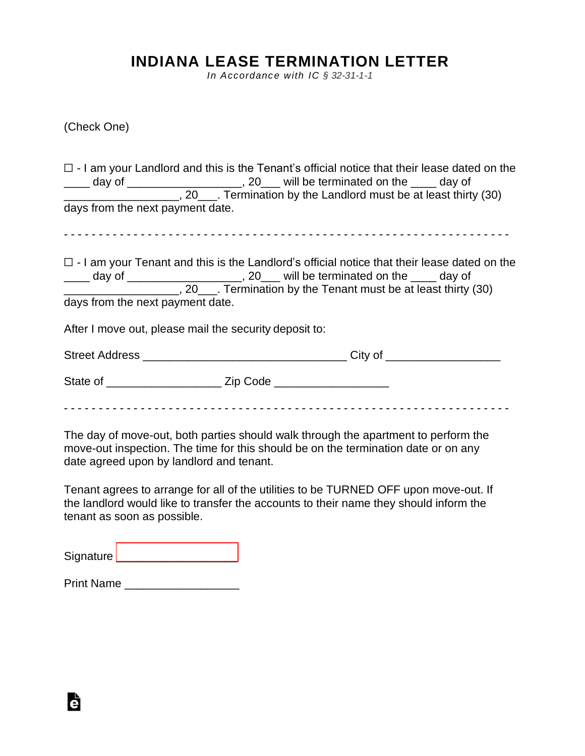## **INDIANA LEASE TERMINATION LETTER**

*In Accordance with IC § 32-31-1-1*

(Check One)

|                                  |                                                        | $\Box$ - I am your Landlord and this is the Tenant's official notice that their lease dated on the                                                                                                                                                                                  |
|----------------------------------|--------------------------------------------------------|-------------------------------------------------------------------------------------------------------------------------------------------------------------------------------------------------------------------------------------------------------------------------------------|
| days from the next payment date. |                                                        |                                                                                                                                                                                                                                                                                     |
|                                  |                                                        |                                                                                                                                                                                                                                                                                     |
|                                  |                                                        | $\Box$ - I am your Tenant and this is the Landlord's official notice that their lease dated on the<br>____ day of _____________________, 20___ will be terminated on the ____ day of<br>__________________________, 20_____. Termination by the Tenant must be at least thirty (30) |
| days from the next payment date. |                                                        |                                                                                                                                                                                                                                                                                     |
|                                  | After I move out, please mail the security deposit to: |                                                                                                                                                                                                                                                                                     |
|                                  |                                                        |                                                                                                                                                                                                                                                                                     |
|                                  |                                                        |                                                                                                                                                                                                                                                                                     |
|                                  |                                                        |                                                                                                                                                                                                                                                                                     |

The day of move-out, both parties should walk through the apartment to perform the move-out inspection. The time for this should be on the termination date or on any date agreed upon by landlord and tenant.

Tenant agrees to arrange for all of the utilities to be TURNED OFF upon move-out. If the landlord would like to transfer the accounts to their name they should inform the tenant as soon as possible.

Signature [\\_\\_\\_\\_\\_\\_\\_\\_\\_\\_\\_\\_\\_\\_\\_\\_\\_\\_\\_](https://esign.com)\_\_\_\_\_\_

Print Name

Ġ